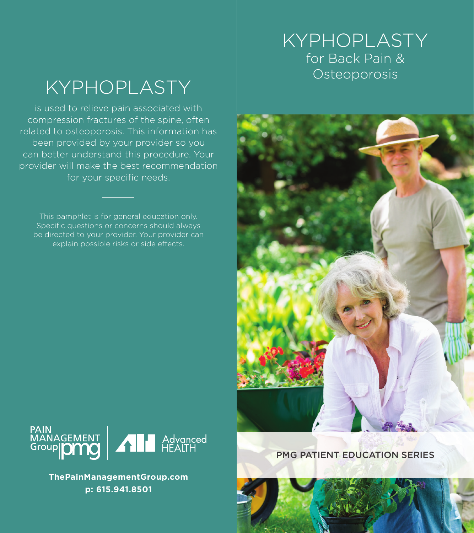### KYPHOPLASTY for Back Pain & Osteoporosis

# KYPHOPLASTY

is used to relieve pain associated with compression fractures of the spine, often related to osteoporosis. This information has been provided by your provider so you can better understand this procedure. Your provider will make the best recommendation for your specific needs.

This pamphlet is for general education only. Specific questions or concerns should always be directed to your provider. Your provider can explain possible risks or side effects.





**ThePainManagementGroup.com p: 615.941.8501**

#### PMG PATIENT EDUCATION SERIES